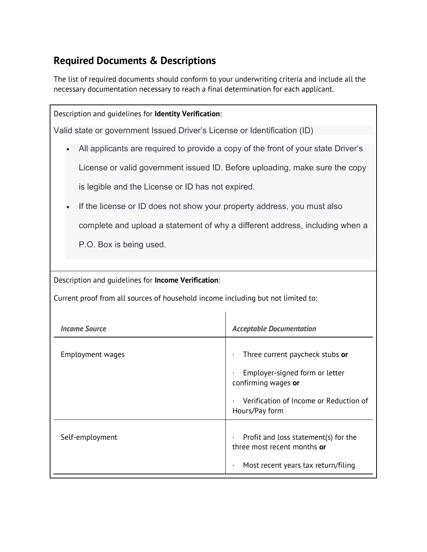## **Required Documents & Descriptions**

The list of required documents should conform to your underwriting criteria and include all the necessary documentation necessary to reach a final determination for each applicant.

| Description and quidelines for Identity Verification:                             |                                                                     |  |
|-----------------------------------------------------------------------------------|---------------------------------------------------------------------|--|
| Valid state or government Issued Driver's License or Identification (ID)          |                                                                     |  |
| All applicants are required to provide a copy of the front of your state Driver's |                                                                     |  |
| License or valid government issued ID. Before uploading, make sure the copy       |                                                                     |  |
| is legible and the License or ID has not expired.                                 |                                                                     |  |
| If the license or ID does not show your property address, you must also           |                                                                     |  |
| complete and upload a statement of why a different address, including when a      |                                                                     |  |
| P.O. Box is being used.                                                           |                                                                     |  |
|                                                                                   |                                                                     |  |
| Description and quidelines for Income Verification:                               |                                                                     |  |
| Current proof from all sources of household income including but not limited to:  |                                                                     |  |
|                                                                                   |                                                                     |  |
| <b>Income Source</b>                                                              | <b>Acceptable Documentation</b>                                     |  |
| <b>Employment wages</b>                                                           | Three current paycheck stubs or                                     |  |
|                                                                                   | Employer-signed form or letter<br>confirming wages or               |  |
|                                                                                   | Verification of Income or Reduction of<br>Hours/Pay form            |  |
| Self-employment                                                                   | Profit and loss statement(s) for the<br>three most recent months or |  |
|                                                                                   | Most recent years tax return/filing                                 |  |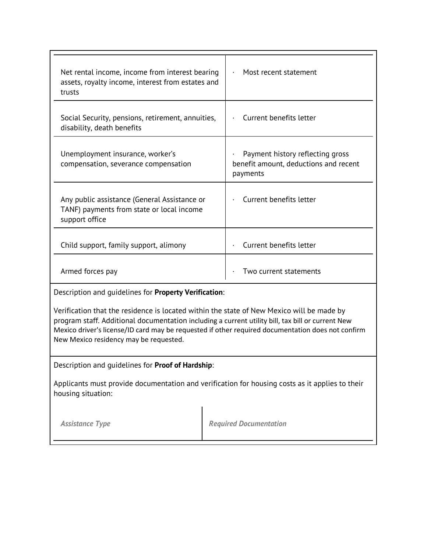| Net rental income, income from interest bearing<br>assets, royalty income, interest from estates and<br>trusts | Most recent statement                                                                 |
|----------------------------------------------------------------------------------------------------------------|---------------------------------------------------------------------------------------|
| Social Security, pensions, retirement, annuities,<br>disability, death benefits                                | Current benefits letter                                                               |
| Unemployment insurance, worker's<br>compensation, severance compensation                                       | Payment history reflecting gross<br>benefit amount, deductions and recent<br>payments |
| Any public assistance (General Assistance or<br>TANF) payments from state or local income<br>support office    | Current benefits letter                                                               |
| Child support, family support, alimony                                                                         | Current benefits letter                                                               |
| Armed forces pay                                                                                               | Two current statements                                                                |

Description and guidelines for **Property Verification**:

Verification that the residence is located within the state of New Mexico will be made by program staff. Additional documentation including a current utility bill, tax bill or current New Mexico driver's license/ID card may be requested if other required documentation does not confirm New Mexico residency may be requested.

## Description and guidelines for **Proof of Hardship**:

Applicants must provide documentation and verification for housing costs as it applies to their housing situation:

| <b>Required Documentation</b> |
|-------------------------------|
|                               |
|                               |